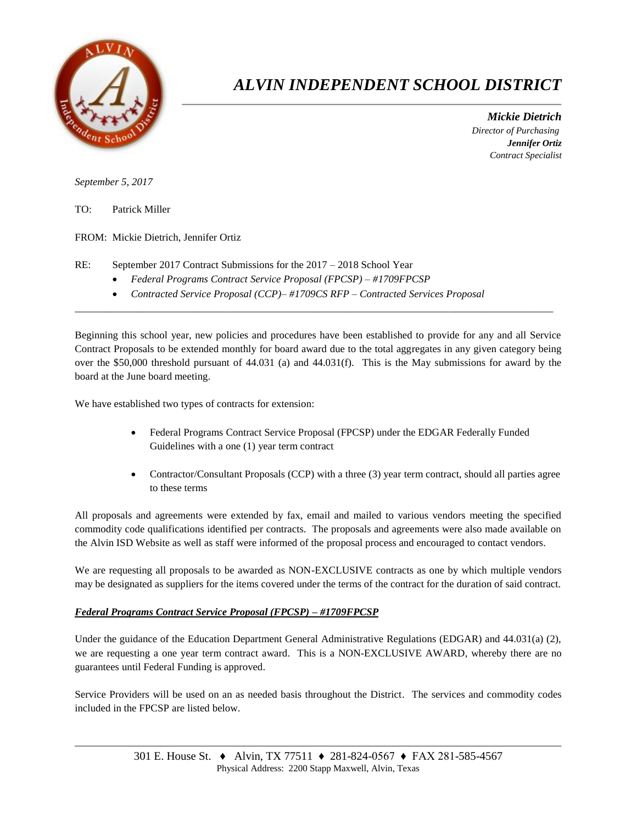

## *ALVIN INDEPENDENT SCHOOL DISTRICT*

 *Mickie Dietrich Director of Purchasing Jennifer Ortiz Contract Specialist*

*September 5, 2017*

TO: Patrick Miller

FROM: Mickie Dietrich, Jennifer Ortiz

- RE: September 2017 Contract Submissions for the 2017 2018 School Year
	- *Federal Programs Contract Service Proposal (FPCSP) – #1709FPCSP*
	- *Contracted Service Proposal (CCP)– #1709CS RFP – Contracted Services Proposal*

Beginning this school year, new policies and procedures have been established to provide for any and all Service Contract Proposals to be extended monthly for board award due to the total aggregates in any given category being over the \$50,000 threshold pursuant of 44.031 (a) and 44.031(f). This is the May submissions for award by the board at the June board meeting.

 $\overline{a}$  , and the contribution of the contribution of the contribution of the contribution of the contribution of the contribution of the contribution of the contribution of the contribution of the contribution of the co

We have established two types of contracts for extension:

- Federal Programs Contract Service Proposal (FPCSP) under the EDGAR Federally Funded Guidelines with a one (1) year term contract
- Contractor/Consultant Proposals (CCP) with a three (3) year term contract, should all parties agree to these terms

All proposals and agreements were extended by fax, email and mailed to various vendors meeting the specified commodity code qualifications identified per contracts. The proposals and agreements were also made available on the Alvin ISD Website as well as staff were informed of the proposal process and encouraged to contact vendors.

We are requesting all proposals to be awarded as NON-EXCLUSIVE contracts as one by which multiple vendors may be designated as suppliers for the items covered under the terms of the contract for the duration of said contract.

## *Federal Programs Contract Service Proposal (FPCSP) – #1709FPCSP*

Under the guidance of the Education Department General Administrative Regulations (EDGAR) and 44.031(a) (2), we are requesting a one year term contract award. This is a NON-EXCLUSIVE AWARD, whereby there are no guarantees until Federal Funding is approved.

Service Providers will be used on an as needed basis throughout the District. The services and commodity codes included in the FPCSP are listed below.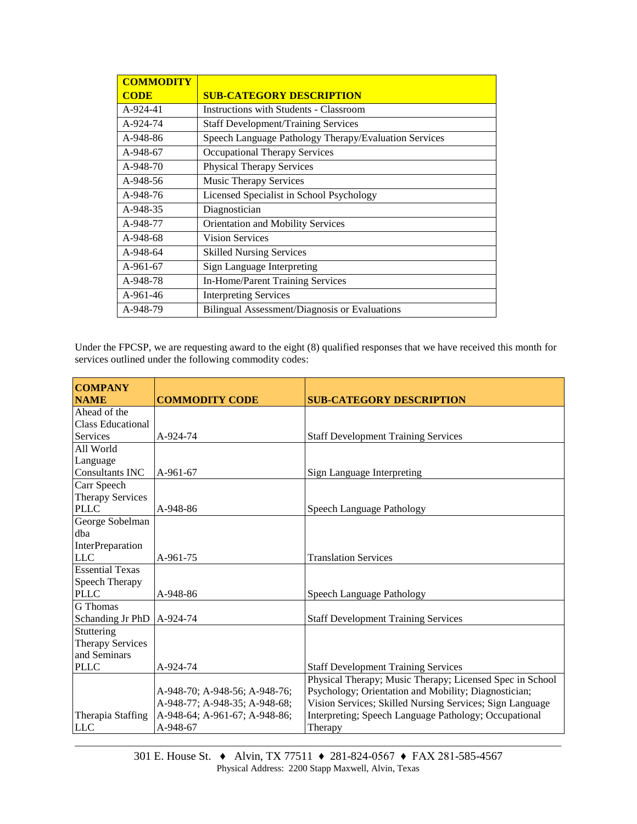| <b>COMMODITY</b> |                                                       |  |  |
|------------------|-------------------------------------------------------|--|--|
| <b>CODE</b>      | <b>SUB-CATEGORY DESCRIPTION</b>                       |  |  |
| A-924-41         | <b>Instructions with Students - Classroom</b>         |  |  |
| A-924-74         | <b>Staff Development/Training Services</b>            |  |  |
| A-948-86         | Speech Language Pathology Therapy/Evaluation Services |  |  |
| A-948-67         | Occupational Therapy Services                         |  |  |
| $A-948-70$       | <b>Physical Therapy Services</b>                      |  |  |
| A-948-56         | <b>Music Therapy Services</b>                         |  |  |
| A-948-76         | Licensed Specialist in School Psychology              |  |  |
| A-948-35         | Diagnostician                                         |  |  |
| A-948-77         | Orientation and Mobility Services                     |  |  |
| A-948-68         | <b>Vision Services</b>                                |  |  |
| A-948-64         | <b>Skilled Nursing Services</b>                       |  |  |
| A-961-67         | Sign Language Interpreting                            |  |  |
| A-948-78         | In-Home/Parent Training Services                      |  |  |
| A-961-46         | <b>Interpreting Services</b>                          |  |  |
| A-948-79         | Bilingual Assessment/Diagnosis or Evaluations         |  |  |

Under the FPCSP, we are requesting award to the eight (8) qualified responses that we have received this month for services outlined under the following commodity codes:

| <b>COMPANY</b><br><b>NAME</b> | <b>COMMODITY CODE</b>         | <b>SUB-CATEGORY DESCRIPTION</b>                          |
|-------------------------------|-------------------------------|----------------------------------------------------------|
| Ahead of the                  |                               |                                                          |
| <b>Class Educational</b>      |                               |                                                          |
| Services                      | A-924-74                      | <b>Staff Development Training Services</b>               |
| All World                     |                               |                                                          |
| Language                      |                               |                                                          |
| Consultants INC               | A-961-67                      | Sign Language Interpreting                               |
| Carr Speech                   |                               |                                                          |
| <b>Therapy Services</b>       |                               |                                                          |
| <b>PLLC</b>                   | A-948-86                      | Speech Language Pathology                                |
| George Sobelman               |                               |                                                          |
| dba                           |                               |                                                          |
| InterPreparation              |                               |                                                          |
| <b>LLC</b>                    | A-961-75                      | <b>Translation Services</b>                              |
| <b>Essential Texas</b>        |                               |                                                          |
| Speech Therapy                |                               |                                                          |
| <b>PLLC</b>                   | A-948-86                      | Speech Language Pathology                                |
| <b>G</b> Thomas               |                               |                                                          |
| Schanding Jr PhD              | A-924-74                      | <b>Staff Development Training Services</b>               |
| Stuttering                    |                               |                                                          |
| <b>Therapy Services</b>       |                               |                                                          |
| and Seminars                  |                               |                                                          |
| <b>PLLC</b>                   | A-924-74                      | <b>Staff Development Training Services</b>               |
|                               |                               | Physical Therapy; Music Therapy; Licensed Spec in School |
|                               | A-948-70; A-948-56; A-948-76; | Psychology; Orientation and Mobility; Diagnostician;     |
|                               | A-948-77; A-948-35; A-948-68; | Vision Services; Skilled Nursing Services; Sign Language |
| Therapia Staffing             | A-948-64; A-961-67; A-948-86; | Interpreting; Speech Language Pathology; Occupational    |
| <b>LLC</b>                    | A-948-67                      | Therapy                                                  |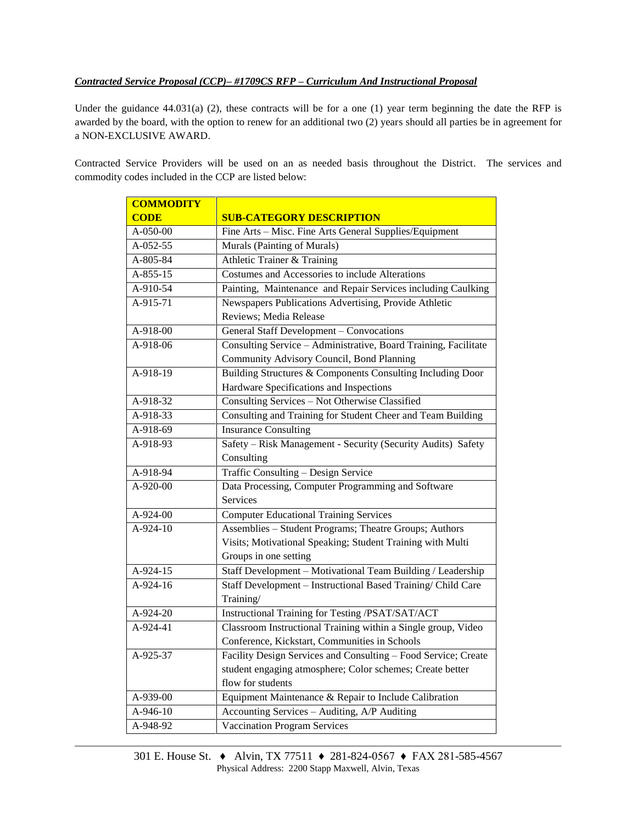## *Contracted Service Proposal (CCP)– #1709CS RFP – Curriculum And Instructional Proposal*

Under the guidance  $44.031(a)$  (2), these contracts will be for a one (1) year term beginning the date the RFP is awarded by the board, with the option to renew for an additional two (2) years should all parties be in agreement for a NON-EXCLUSIVE AWARD.

Contracted Service Providers will be used on an as needed basis throughout the District. The services and commodity codes included in the CCP are listed below:

| <b>COMMODITY</b> |                                                                 |  |  |
|------------------|-----------------------------------------------------------------|--|--|
| <b>CODE</b>      | <b>SUB-CATEGORY DESCRIPTION</b>                                 |  |  |
| A-050-00         | Fine Arts - Misc. Fine Arts General Supplies/Equipment          |  |  |
| $A-052-55$       | Murals (Painting of Murals)                                     |  |  |
| A-805-84         | Athletic Trainer & Training                                     |  |  |
| A-855-15         | Costumes and Accessories to include Alterations                 |  |  |
| A-910-54         | Painting, Maintenance and Repair Services including Caulking    |  |  |
| $A-915-71$       | Newspapers Publications Advertising, Provide Athletic           |  |  |
|                  | Reviews; Media Release                                          |  |  |
| A-918-00         | General Staff Development - Convocations                        |  |  |
| $A-918-06$       | Consulting Service - Administrative, Board Training, Facilitate |  |  |
|                  | Community Advisory Council, Bond Planning                       |  |  |
| A-918-19         | Building Structures & Components Consulting Including Door      |  |  |
|                  | Hardware Specifications and Inspections                         |  |  |
| A-918-32         | Consulting Services - Not Otherwise Classified                  |  |  |
| A-918-33         | Consulting and Training for Student Cheer and Team Building     |  |  |
| A-918-69         | <b>Insurance Consulting</b>                                     |  |  |
| $A-918-93$       | Safety - Risk Management - Security (Security Audits) Safety    |  |  |
|                  | Consulting                                                      |  |  |
| A-918-94         | Traffic Consulting - Design Service                             |  |  |
| A-920-00         | Data Processing, Computer Programming and Software              |  |  |
|                  | Services                                                        |  |  |
| A-924-00         | <b>Computer Educational Training Services</b>                   |  |  |
| A-924-10         | Assemblies - Student Programs; Theatre Groups; Authors          |  |  |
|                  | Visits; Motivational Speaking; Student Training with Multi      |  |  |
|                  | Groups in one setting                                           |  |  |
| A-924-15         | Staff Development - Motivational Team Building / Leadership     |  |  |
| A-924-16         | Staff Development - Instructional Based Training/ Child Care    |  |  |
|                  | Training/                                                       |  |  |
| A-924-20         | Instructional Training for Testing /PSAT/SAT/ACT                |  |  |
| A-924-41         | Classroom Instructional Training within a Single group, Video   |  |  |
|                  | Conference, Kickstart, Communities in Schools                   |  |  |
| A-925-37         | Facility Design Services and Consulting - Food Service; Create  |  |  |
|                  | student engaging atmosphere; Color schemes; Create better       |  |  |
|                  | flow for students                                               |  |  |
| $A - 939 - 00$   | Equipment Maintenance & Repair to Include Calibration           |  |  |
| A-946-10         | Accounting Services - Auditing, A/P Auditing                    |  |  |
| A-948-92         | <b>Vaccination Program Services</b>                             |  |  |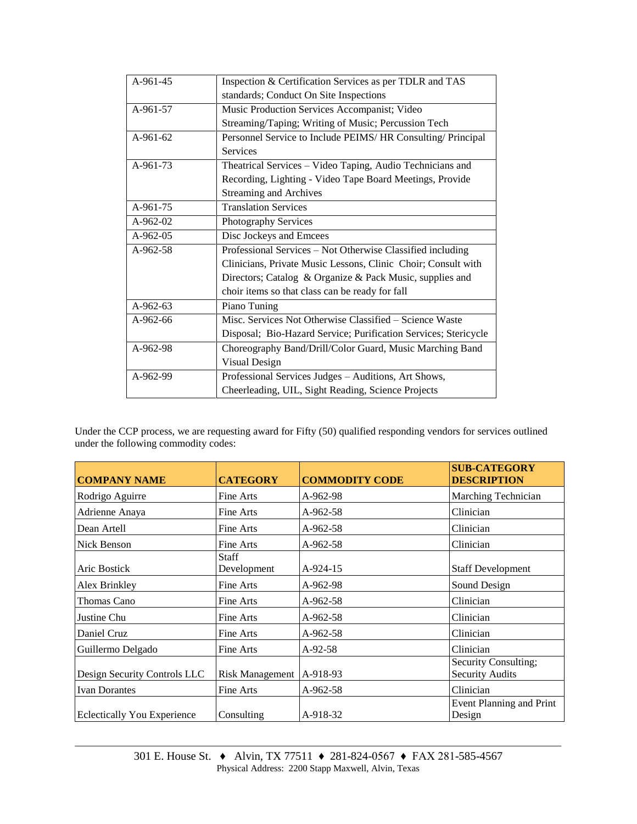| Inspection & Certification Services as per TDLR and TAS         |  |  |
|-----------------------------------------------------------------|--|--|
| standards; Conduct On Site Inspections                          |  |  |
| Music Production Services Accompanist; Video                    |  |  |
| Streaming/Taping; Writing of Music; Percussion Tech             |  |  |
| Personnel Service to Include PEIMS/ HR Consulting/ Principal    |  |  |
| <b>Services</b>                                                 |  |  |
| Theatrical Services – Video Taping, Audio Technicians and       |  |  |
| Recording, Lighting - Video Tape Board Meetings, Provide        |  |  |
| <b>Streaming and Archives</b>                                   |  |  |
| <b>Translation Services</b>                                     |  |  |
| Photography Services                                            |  |  |
| Disc Jockeys and Emcees                                         |  |  |
| Professional Services - Not Otherwise Classified including      |  |  |
| Clinicians, Private Music Lessons, Clinic Choir; Consult with   |  |  |
| Directors; Catalog & Organize & Pack Music, supplies and        |  |  |
| choir items so that class can be ready for fall                 |  |  |
| Piano Tuning                                                    |  |  |
| Misc. Services Not Otherwise Classified - Science Waste         |  |  |
| Disposal; Bio-Hazard Service; Purification Services; Stericycle |  |  |
| Choreography Band/Drill/Color Guard, Music Marching Band        |  |  |
| Visual Design                                                   |  |  |
| Professional Services Judges - Auditions, Art Shows,            |  |  |
| Cheerleading, UIL, Sight Reading, Science Projects              |  |  |
|                                                                 |  |  |

Under the CCP process, we are requesting award for Fifty (50) qualified responding vendors for services outlined under the following commodity codes:

| <b>COMPANY NAME</b>                | <b>CATEGORY</b>        | <b>COMMODITY CODE</b> | <b>SUB-CATEGORY</b><br><b>DESCRIPTION</b>      |
|------------------------------------|------------------------|-----------------------|------------------------------------------------|
| Rodrigo Aguirre                    | Fine Arts              | A-962-98              | Marching Technician                            |
| Adrienne Anaya                     | Fine Arts              | $A-962-58$            | Clinician                                      |
| Dean Artell                        | Fine Arts              | $A-962-58$            | Clinician                                      |
| Nick Benson                        | Fine Arts              | $A-962-58$            | Clinician                                      |
| Aric Bostick                       | Staff<br>Development   | A-924-15              | <b>Staff Development</b>                       |
| Alex Brinkley                      | Fine Arts              | A-962-98              | Sound Design                                   |
| Thomas Cano                        | Fine Arts              | A-962-58              | Clinician                                      |
| Justine Chu                        | Fine Arts              | A-962-58              | Clinician                                      |
| Daniel Cruz                        | Fine Arts              | $A-962-58$            | Clinician                                      |
| Guillermo Delgado                  | Fine Arts              | $A-92-58$             | Clinician                                      |
| Design Security Controls LLC       | <b>Risk Management</b> | A-918-93              | Security Consulting;<br><b>Security Audits</b> |
| <b>Ivan Dorantes</b>               | Fine Arts              | $A-962-58$            | Clinician                                      |
| <b>Eclectically You Experience</b> | Consulting             | A-918-32              | Event Planning and Print<br>Design             |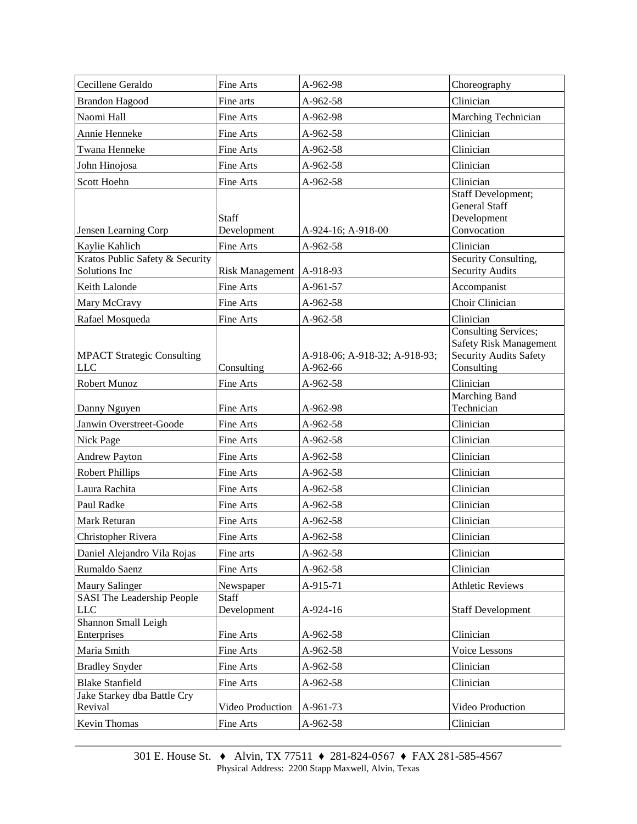| Cecillene Geraldo                                | Fine Arts                   | A-962-98                                  | Choreography                                                                                                |
|--------------------------------------------------|-----------------------------|-------------------------------------------|-------------------------------------------------------------------------------------------------------------|
| <b>Brandon Hagood</b>                            | Fine arts                   | A-962-58                                  | Clinician                                                                                                   |
| Naomi Hall                                       | Fine Arts                   | A-962-98                                  | Marching Technician                                                                                         |
| Annie Henneke                                    | Fine Arts                   | A-962-58                                  | Clinician                                                                                                   |
| Twana Henneke                                    | Fine Arts                   | A-962-58                                  | Clinician                                                                                                   |
| John Hinojosa                                    | Fine Arts                   | A-962-58                                  | Clinician                                                                                                   |
| Scott Hoehn                                      | Fine Arts                   | A-962-58                                  | Clinician                                                                                                   |
| Jensen Learning Corp                             | <b>Staff</b><br>Development | A-924-16; A-918-00                        | <b>Staff Development;</b><br><b>General Staff</b><br>Development<br>Convocation                             |
| Kaylie Kahlich                                   | Fine Arts                   | A-962-58                                  | Clinician                                                                                                   |
| Kratos Public Safety & Security<br>Solutions Inc | Risk Management   A-918-93  |                                           | Security Consulting,<br><b>Security Audits</b>                                                              |
| Keith Lalonde                                    | Fine Arts                   | A-961-57                                  | Accompanist                                                                                                 |
| Mary McCravy                                     | Fine Arts                   | A-962-58                                  | Choir Clinician                                                                                             |
| Rafael Mosqueda                                  | Fine Arts                   | A-962-58                                  | Clinician                                                                                                   |
| <b>MPACT Strategic Consulting</b><br><b>LLC</b>  | Consulting                  | A-918-06; A-918-32; A-918-93;<br>A-962-66 | <b>Consulting Services;</b><br><b>Safety Risk Management</b><br><b>Security Audits Safety</b><br>Consulting |
| Robert Munoz                                     | Fine Arts                   | $A-962-58$                                | Clinician                                                                                                   |
| Danny Nguyen                                     | Fine Arts                   | A-962-98                                  | Marching Band<br>Technician                                                                                 |
| Janwin Overstreet-Goode                          | Fine Arts                   | A-962-58                                  | Clinician                                                                                                   |
| Nick Page                                        | Fine Arts                   | A-962-58                                  | Clinician                                                                                                   |
| <b>Andrew Payton</b>                             | Fine Arts                   | A-962-58                                  | Clinician                                                                                                   |
| <b>Robert Phillips</b>                           | Fine Arts                   | A-962-58                                  | Clinician                                                                                                   |
| Laura Rachita                                    | Fine Arts                   | A-962-58                                  | Clinician                                                                                                   |
| Paul Radke                                       | Fine Arts                   | A-962-58                                  | Clinician                                                                                                   |
| Mark Returan                                     | Fine Arts                   | A-962-58                                  | Clinician                                                                                                   |
| Christopher Rivera                               | Fine Arts                   | A-962-58                                  | Clinician                                                                                                   |
| Daniel Alejandro Vila Rojas                      | Fine arts                   | A-962-58                                  | Clinician                                                                                                   |
| Rumaldo Saenz                                    | Fine Arts                   | A-962-58                                  | Clinician                                                                                                   |
| <b>Maury Salinger</b>                            | Newspaper                   | A-915-71                                  | <b>Athletic Reviews</b>                                                                                     |
| <b>SASI</b> The Leadership People<br>$LLC$       | <b>Staff</b><br>Development | A-924-16                                  | <b>Staff Development</b>                                                                                    |
| Shannon Small Leigh<br>Enterprises               | Fine Arts                   | A-962-58                                  | Clinician                                                                                                   |
| Maria Smith                                      | Fine Arts                   | A-962-58                                  | Voice Lessons                                                                                               |
| <b>Bradley Snyder</b>                            | Fine Arts                   | A-962-58                                  | Clinician                                                                                                   |
| <b>Blake Stanfield</b>                           | Fine Arts                   | A-962-58                                  | Clinician                                                                                                   |
| Jake Starkey dba Battle Cry<br>Revival           | Video Production            | A-961-73                                  | Video Production                                                                                            |
| Kevin Thomas                                     | Fine Arts                   | A-962-58                                  | Clinician                                                                                                   |